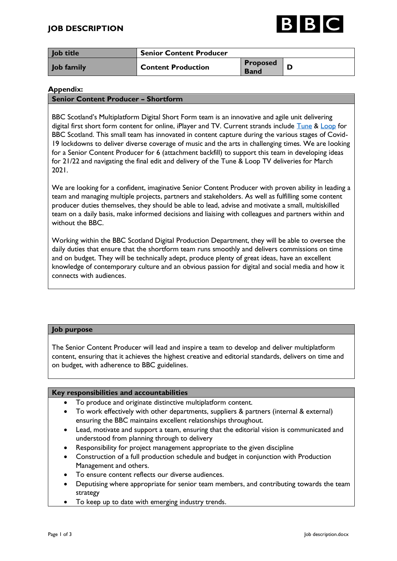

| Job title  | <b>Senior Content Producer</b> |                                |  |
|------------|--------------------------------|--------------------------------|--|
| Job family | <b>Content Production</b>      | <b>Proposed</b><br><b>Band</b> |  |

### **Appendix:**

### **Senior Content Producer – Shortform**

BBC Scotland's Multiplatform Digital Short Form team is an innovative and agile unit delivering digital first short form content for online, iPlayer and TV. Current strands include [Tune](https://www.bbc.co.uk/programmes/m0002x06) & [Loop](https://www.bbc.co.uk/programmes/p05tp96w) for BBC Scotland. This small team has innovated in content capture during the various stages of Covid-19 lockdowns to deliver diverse coverage of music and the arts in challenging times. We are looking for a Senior Content Producer for 6 (attachment backfill) to support this team in developing ideas for 21/22 and navigating the final edit and delivery of the Tune & Loop TV deliveries for March 2021.

We are looking for a confident, imaginative Senior Content Producer with proven ability in leading a team and managing multiple projects, partners and stakeholders. As well as fulfilling some content producer duties themselves, they should be able to lead, advise and motivate a small, multiskilled team on a daily basis, make informed decisions and liaising with colleagues and partners within and without the BBC.

Working within the BBC Scotland Digital Production Department, they will be able to oversee the daily duties that ensure that the shortform team runs smoothly and delivers commissions on time and on budget. They will be technically adept, produce plenty of great ideas, have an excellent knowledge of contemporary culture and an obvious passion for digital and social media and how it connects with audiences.

# **Job purpose**

The Senior Content Producer will lead and inspire a team to develop and deliver multiplatform content, ensuring that it achieves the highest creative and editorial standards, delivers on time and on budget, with adherence to BBC guidelines.

### **Key responsibilities and accountabilities**

- To produce and originate distinctive multiplatform content.
- To work effectively with other departments, suppliers & partners (internal & external) ensuring the BBC maintains excellent relationships throughout.
- Lead, motivate and support a team, ensuring that the editorial vision is communicated and understood from planning through to delivery
- Responsibility for project management appropriate to the given discipline
- Construction of a full production schedule and budget in conjunction with Production Management and others.
- To ensure content reflects our diverse audiences.
- Deputising where appropriate for senior team members, and contributing towards the team strategy
- To keep up to date with emerging industry trends.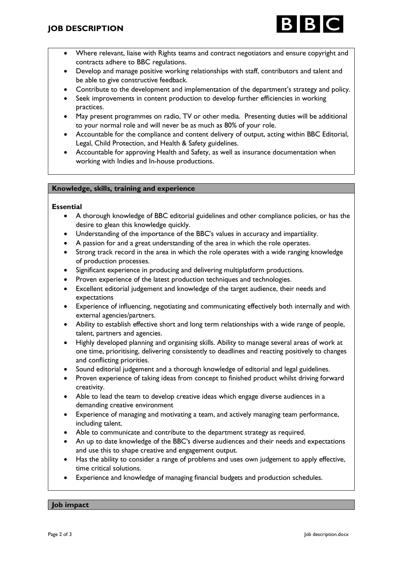

- Where relevant, liaise with Rights teams and contract negotiators and ensure copyright and contracts adhere to BBC regulations.
- Develop and manage positive working relationships with staff, contributors and talent and be able to give constructive feedback.
- Contribute to the development and implementation of the department's strategy and policy.
- Seek improvements in content production to develop further efficiencies in working practices.
- May present programmes on radio, TV or other media. Presenting duties will be additional to your normal role and will never be as much as 80% of your role.
- Accountable for the compliance and content delivery of output, acting within BBC Editorial, Legal, Child Protection, and Health & Safety guidelines.
- Accountable for approving Health and Safety, as well as insurance documentation when working with Indies and In-house productions.

# **Knowledge, skills, training and experience**

### **Essential**

- A thorough knowledge of BBC editorial guidelines and other compliance policies, or has the desire to glean this knowledge quickly.
- Understanding of the importance of the BBC's values in accuracy and impartiality.
- A passion for and a great understanding of the area in which the role operates.
- Strong track record in the area in which the role operates with a wide ranging knowledge of production processes.
- Significant experience in producing and delivering multiplatform productions.
- Proven experience of the latest production techniques and technologies.
- Excellent editorial judgement and knowledge of the target audience, their needs and expectations
- Experience of influencing, negotiating and communicating effectively both internally and with external agencies/partners.
- Ability to establish effective short and long term relationships with a wide range of people, talent, partners and agencies.
- Highly developed planning and organising skills. Ability to manage several areas of work at one time, prioritising, delivering consistently to deadlines and reacting positively to changes and conflicting priorities.
- Sound editorial judgement and a thorough knowledge of editorial and legal guidelines.
- Proven experience of taking ideas from concept to finished product whilst driving forward creativity.
- Able to lead the team to develop creative ideas which engage diverse audiences in a demanding creative environment
- Experience of managing and motivating a team, and actively managing team performance, including talent.
- Able to communicate and contribute to the department strategy as required.
- An up to date knowledge of the BBC's diverse audiences and their needs and expectations and use this to shape creative and engagement output.
- Has the ability to consider a range of problems and uses own judgement to apply effective, time critical solutions.
- Experience and knowledge of managing financial budgets and production schedules.

### **Job impact**